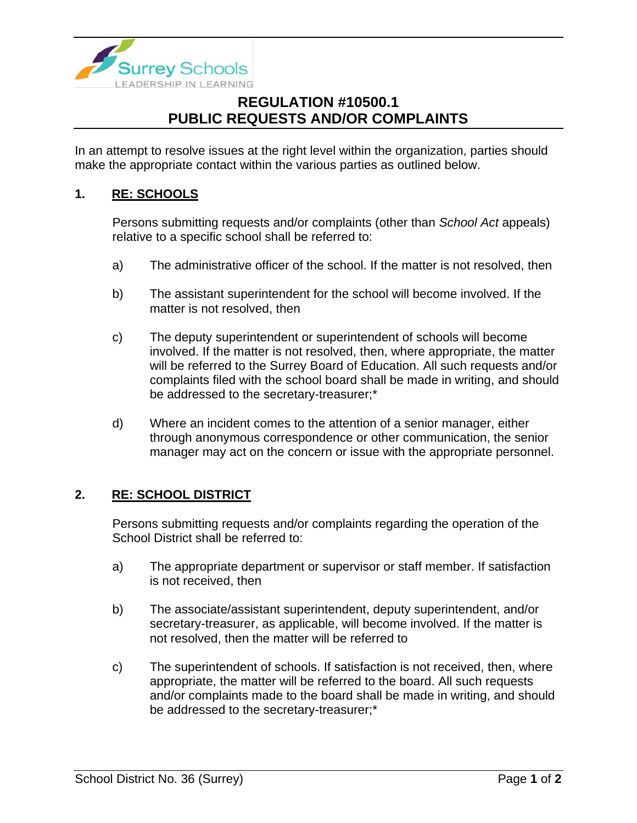

## **REGULATION #10500.1 PUBLIC REQUESTS AND/OR COMPLAINTS**

In an attempt to resolve issues at the right level within the organization, parties should make the appropriate contact within the various parties as outlined below.

## **1. RE: SCHOOLS**

Persons submitting requests and/or complaints (other than *School Act* appeals) relative to a specific school shall be referred to:

- a) The administrative officer of the school. If the matter is not resolved, then
- b) The assistant superintendent for the school will become involved. If the matter is not resolved, then
- c) The deputy superintendent or superintendent of schools will become involved. If the matter is not resolved, then, where appropriate, the matter will be referred to the Surrey Board of Education. All such requests and/or complaints filed with the school board shall be made in writing, and should be addressed to the secretary-treasurer;\*
- d) Where an incident comes to the attention of a senior manager, either through anonymous correspondence or other communication, the senior manager may act on the concern or issue with the appropriate personnel.

## **2. RE: SCHOOL DISTRICT**

Persons submitting requests and/or complaints regarding the operation of the School District shall be referred to:

- a) The appropriate department or supervisor or staff member. If satisfaction is not received, then
- b) The associate/assistant superintendent, deputy superintendent, and/or secretary-treasurer, as applicable, will become involved. If the matter is not resolved, then the matter will be referred to
- c) The superintendent of schools. If satisfaction is not received, then, where appropriate, the matter will be referred to the board. All such requests and/or complaints made to the board shall be made in writing, and should be addressed to the secretary-treasurer;\*